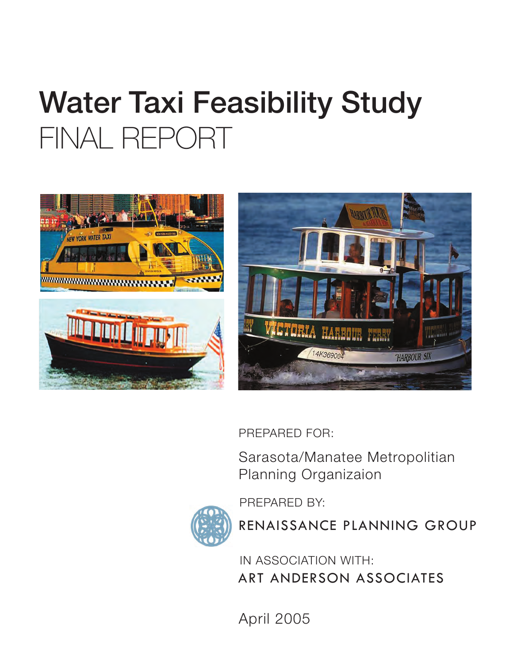# Water Taxi Feasibility Study FINAL REPORT





PREPARED FOR:

PREPARED BY:

Sarasota/Manatee Metropolitian Planning Organizaion

RENAISSANCE PLANNING GROUP

IN ASSOCIATION WITH: ART ANDERSON ASSOCIATES

April 2005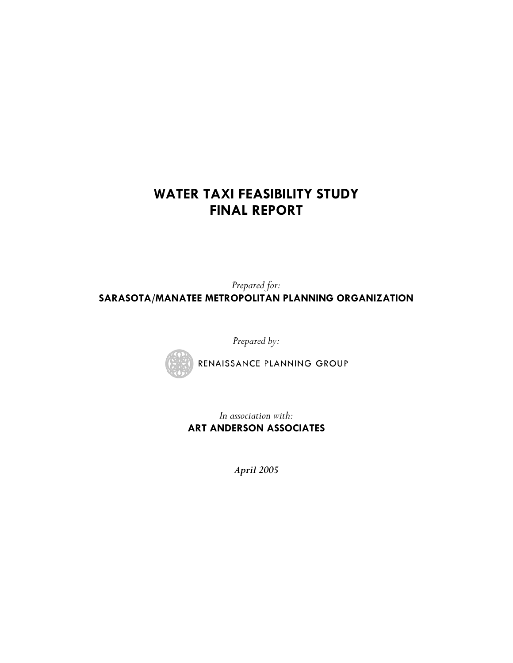## **WATER TAXI FEASIBILITY STUDY FINAL REPORT**

*Prepared for:*  **SARASOTA/MANATEE METROPOLITAN PLANNING ORGANIZATION** 

*Prepared by:* 



RENAISSANCE PLANNING GROUP

*In association with:*  **ART ANDERSON ASSOCIATES** 

*April 2005*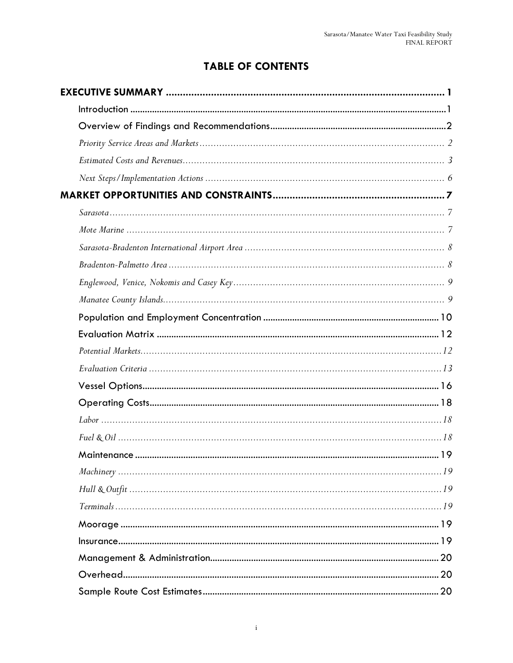## **TABLE OF CONTENTS**

| 20 |
|----|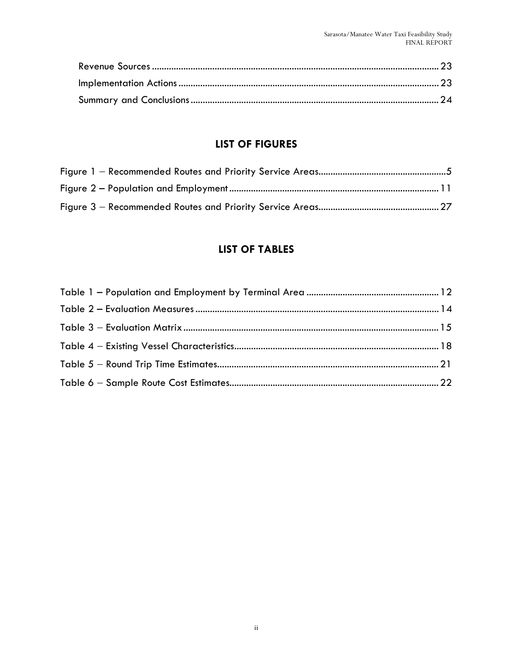### **LIST OF FIGURES**

#### **LIST OF TABLES**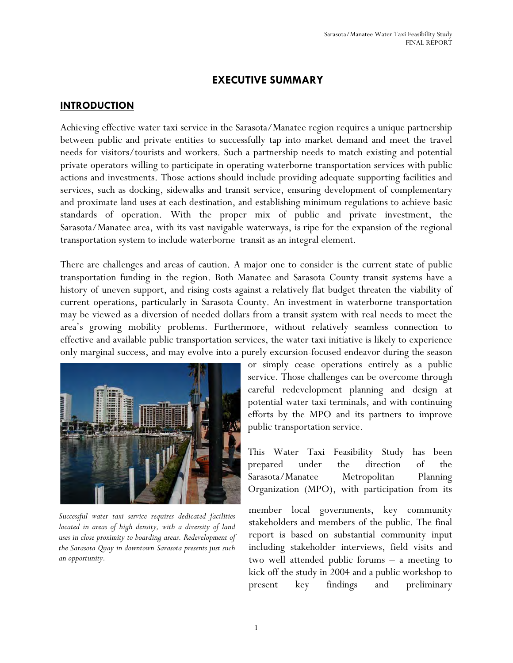#### **EXECUTIVE SUMMARY**

#### **INTRODUCTION**

Achieving effective water taxi service in the Sarasota/Manatee region requires a unique partnership between public and private entities to successfully tap into market demand and meet the travel needs for visitors/tourists and workers. Such a partnership needs to match existing and potential private operators willing to participate in operating waterborne transportation services with public actions and investments. Those actions should include providing adequate supporting facilities and services, such as docking, sidewalks and transit service, ensuring development of complementary and proximate land uses at each destination, and establishing minimum regulations to achieve basic standards of operation. With the proper mix of public and private investment, the Sarasota/Manatee area, with its vast navigable waterways, is ripe for the expansion of the regional transportation system to include waterborne transit as an integral element.

There are challenges and areas of caution. A major one to consider is the current state of public transportation funding in the region. Both Manatee and Sarasota County transit systems have a history of uneven support, and rising costs against a relatively flat budget threaten the viability of current operations, particularly in Sarasota County. An investment in waterborne transportation may be viewed as a diversion of needed dollars from a transit system with real needs to meet the area's growing mobility problems. Furthermore, without relatively seamless connection to effective and available public transportation services, the water taxi initiative is likely to experience only marginal success, and may evolve into a purely excursion-focused endeavor during the season



*Successful water taxi service requires dedicated facilities located in areas of high density, with a diversity of land uses in close proximity to boarding areas. Redevelopment of the Sarasota Quay in downtown Sarasota presents just such an opportunity.* 

or simply cease operations entirely as a public service. Those challenges can be overcome through careful redevelopment planning and design at potential water taxi terminals, and with continuing efforts by the MPO and its partners to improve public transportation service.

This Water Taxi Feasibility Study has been prepared under the direction of the Sarasota/Manatee Metropolitan Planning Organization (MPO), with participation from its

member local governments, key community stakeholders and members of the public. The final report is based on substantial community input including stakeholder interviews, field visits and two well attended public forums – a meeting to kick off the study in 2004 and a public workshop to present key findings and preliminary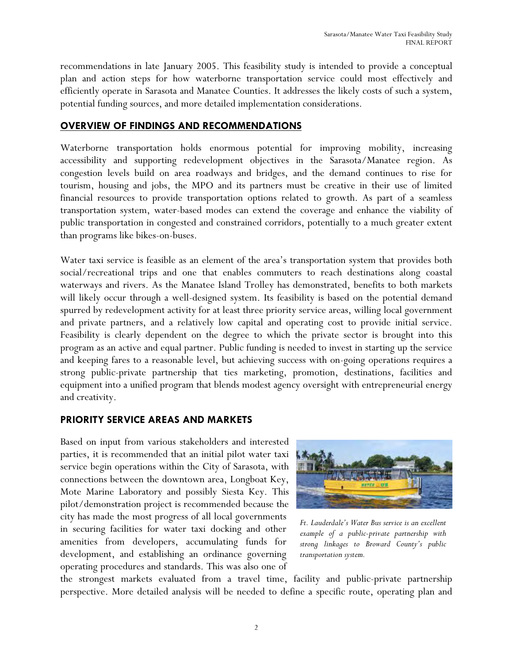recommendations in late January 2005. This feasibility study is intended to provide a conceptual plan and action steps for how waterborne transportation service could most effectively and efficiently operate in Sarasota and Manatee Counties. It addresses the likely costs of such a system, potential funding sources, and more detailed implementation considerations.

#### **OVERVIEW OF FINDINGS AND RECOMMENDATIONS**

Waterborne transportation holds enormous potential for improving mobility, increasing accessibility and supporting redevelopment objectives in the Sarasota/Manatee region. As congestion levels build on area roadways and bridges, and the demand continues to rise for tourism, housing and jobs, the MPO and its partners must be creative in their use of limited financial resources to provide transportation options related to growth. As part of a seamless transportation system, water-based modes can extend the coverage and enhance the viability of public transportation in congested and constrained corridors, potentially to a much greater extent than programs like bikes-on-buses.

Water taxi service is feasible as an element of the area's transportation system that provides both social/recreational trips and one that enables commuters to reach destinations along coastal waterways and rivers. As the Manatee Island Trolley has demonstrated, benefits to both markets will likely occur through a well-designed system. Its feasibility is based on the potential demand spurred by redevelopment activity for at least three priority service areas, willing local government and private partners, and a relatively low capital and operating cost to provide initial service. Feasibility is clearly dependent on the degree to which the private sector is brought into this program as an active and equal partner. Public funding is needed to invest in starting up the service and keeping fares to a reasonable level, but achieving success with on-going operations requires a strong public-private partnership that ties marketing, promotion, destinations, facilities and equipment into a unified program that blends modest agency oversight with entrepreneurial energy and creativity.

#### **PRIORITY SERVICE AREAS AND MARKETS**

Based on input from various stakeholders and interested parties, it is recommended that an initial pilot water taxi service begin operations within the City of Sarasota, with connections between the downtown area, Longboat Key, Mote Marine Laboratory and possibly Siesta Key. This pilot/demonstration project is recommended because the city has made the most progress of all local governments in securing facilities for water taxi docking and other amenities from developers, accumulating funds for development, and establishing an ordinance governing operating procedures and standards. This was also one of



*Ft. Lauderdale's Water Bus service is an excellent example of a public-private partnership with strong linkages to Broward County's public transportation system.* 

the strongest markets evaluated from a travel time, facility and public-private partnership perspective. More detailed analysis will be needed to define a specific route, operating plan and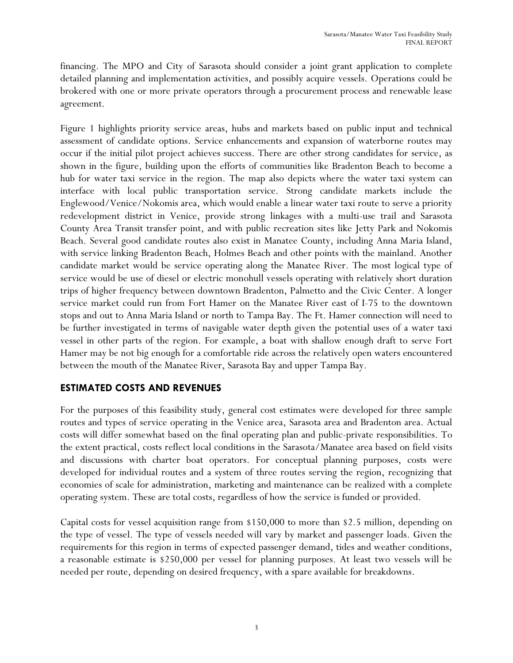financing. The MPO and City of Sarasota should consider a joint grant application to complete detailed planning and implementation activities, and possibly acquire vessels. Operations could be brokered with one or more private operators through a procurement process and renewable lease agreement.

Figure 1 highlights priority service areas, hubs and markets based on public input and technical assessment of candidate options. Service enhancements and expansion of waterborne routes may occur if the initial pilot project achieves success. There are other strong candidates for service, as shown in the figure, building upon the efforts of communities like Bradenton Beach to become a hub for water taxi service in the region. The map also depicts where the water taxi system can interface with local public transportation service. Strong candidate markets include the Englewood/Venice/Nokomis area, which would enable a linear water taxi route to serve a priority redevelopment district in Venice, provide strong linkages with a multi-use trail and Sarasota County Area Transit transfer point, and with public recreation sites like Jetty Park and Nokomis Beach. Several good candidate routes also exist in Manatee County, including Anna Maria Island, with service linking Bradenton Beach, Holmes Beach and other points with the mainland. Another candidate market would be service operating along the Manatee River. The most logical type of service would be use of diesel or electric monohull vessels operating with relatively short duration trips of higher frequency between downtown Bradenton, Palmetto and the Civic Center. A longer service market could run from Fort Hamer on the Manatee River east of I-75 to the downtown stops and out to Anna Maria Island or north to Tampa Bay. The Ft. Hamer connection will need to be further investigated in terms of navigable water depth given the potential uses of a water taxi vessel in other parts of the region. For example, a boat with shallow enough draft to serve Fort Hamer may be not big enough for a comfortable ride across the relatively open waters encountered between the mouth of the Manatee River, Sarasota Bay and upper Tampa Bay.

#### **ESTIMATED COSTS AND REVENUES**

For the purposes of this feasibility study, general cost estimates were developed for three sample routes and types of service operating in the Venice area, Sarasota area and Bradenton area. Actual costs will differ somewhat based on the final operating plan and public-private responsibilities. To the extent practical, costs reflect local conditions in the Sarasota/Manatee area based on field visits and discussions with charter boat operators. For conceptual planning purposes, costs were developed for individual routes and a system of three routes serving the region, recognizing that economies of scale for administration, marketing and maintenance can be realized with a complete operating system. These are total costs, regardless of how the service is funded or provided.

Capital costs for vessel acquisition range from \$150,000 to more than \$2.5 million, depending on the type of vessel. The type of vessels needed will vary by market and passenger loads. Given the requirements for this region in terms of expected passenger demand, tides and weather conditions, a reasonable estimate is \$250,000 per vessel for planning purposes. At least two vessels will be needed per route, depending on desired frequency, with a spare available for breakdowns.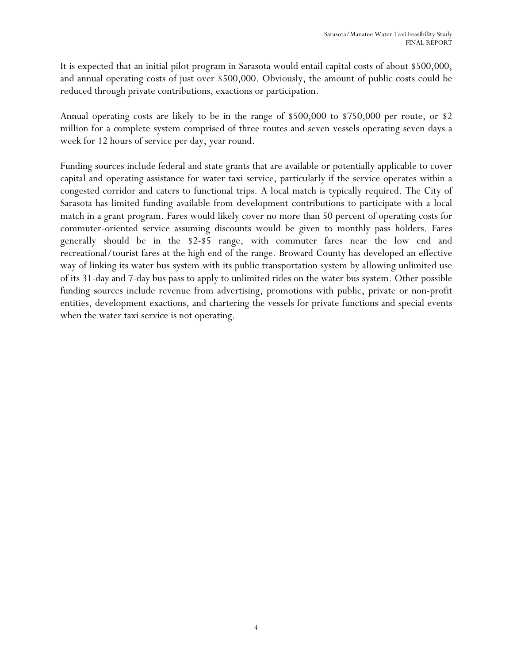It is expected that an initial pilot program in Sarasota would entail capital costs of about \$500,000, and annual operating costs of just over \$500,000. Obviously, the amount of public costs could be reduced through private contributions, exactions or participation.

Annual operating costs are likely to be in the range of \$500,000 to \$750,000 per route, or \$2 million for a complete system comprised of three routes and seven vessels operating seven days a week for 12 hours of service per day, year round.

Funding sources include federal and state grants that are available or potentially applicable to cover capital and operating assistance for water taxi service, particularly if the service operates within a congested corridor and caters to functional trips. A local match is typically required. The City of Sarasota has limited funding available from development contributions to participate with a local match in a grant program. Fares would likely cover no more than 50 percent of operating costs for commuter-oriented service assuming discounts would be given to monthly pass holders. Fares generally should be in the \$2-\$5 range, with commuter fares near the low end and recreational/tourist fares at the high end of the range. Broward County has developed an effective way of linking its water bus system with its public transportation system by allowing unlimited use of its 31-day and 7-day bus pass to apply to unlimited rides on the water bus system. Other possible funding sources include revenue from advertising, promotions with public, private or non-profit entities, development exactions, and chartering the vessels for private functions and special events when the water taxi service is not operating.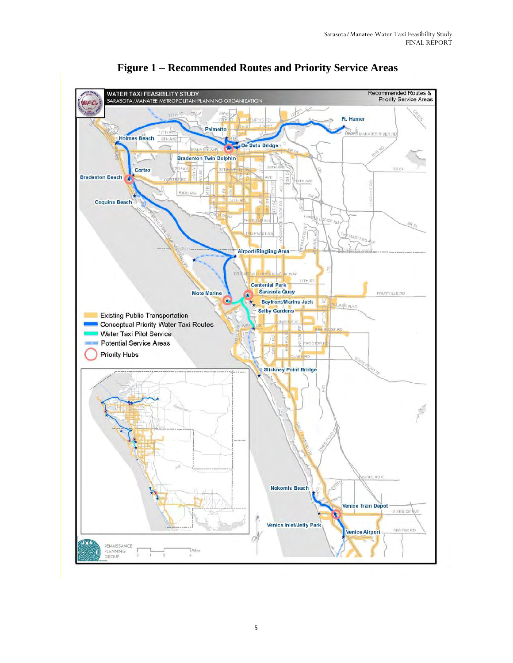

 **Figure 1 Recommended Routes and Priority Service Areas**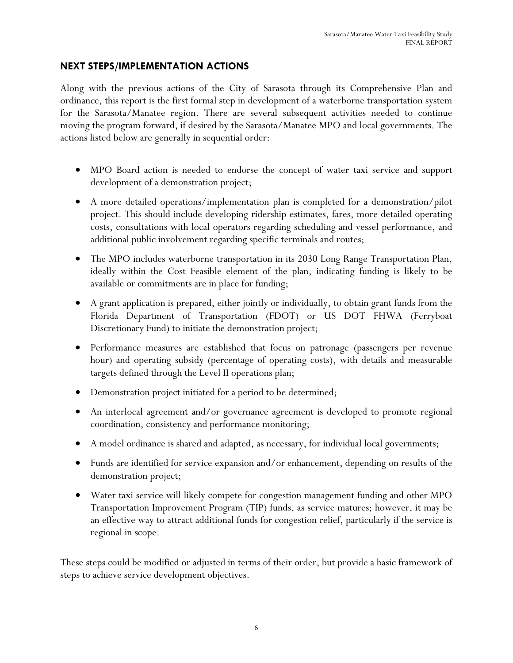#### **NEXT STEPS/IMPLEMENTATION ACTIONS**

Along with the previous actions of the City of Sarasota through its Comprehensive Plan and ordinance, this report is the first formal step in development of a waterborne transportation system for the Sarasota/Manatee region. There are several subsequent activities needed to continue moving the program forward, if desired by the Sarasota/Manatee MPO and local governments. The actions listed below are generally in sequential order:

- MPO Board action is needed to endorse the concept of water taxi service and support development of a demonstration project;
- A more detailed operations/implementation plan is completed for a demonstration/pilot project. This should include developing ridership estimates, fares, more detailed operating costs, consultations with local operators regarding scheduling and vessel performance, and additional public involvement regarding specific terminals and routes;
- The MPO includes waterborne transportation in its 2030 Long Range Transportation Plan, ideally within the Cost Feasible element of the plan, indicating funding is likely to be available or commitments are in place for funding;
- A grant application is prepared, either jointly or individually, to obtain grant funds from the Florida Department of Transportation (FDOT) or US DOT FHWA (Ferryboat Discretionary Fund) to initiate the demonstration project;
- Performance measures are established that focus on patronage (passengers per revenue hour) and operating subsidy (percentage of operating costs), with details and measurable targets defined through the Level II operations plan;
- Demonstration project initiated for a period to be determined;
- An interlocal agreement and/or governance agreement is developed to promote regional coordination, consistency and performance monitoring;
- A model ordinance is shared and adapted, as necessary, for individual local governments;
- Funds are identified for service expansion and/or enhancement, depending on results of the demonstration project;
- Water taxi service will likely compete for congestion management funding and other MPO Transportation Improvement Program (TIP) funds, as service matures; however, it may be an effective way to attract additional funds for congestion relief, particularly if the service is regional in scope.

These steps could be modified or adjusted in terms of their order, but provide a basic framework of steps to achieve service development objectives.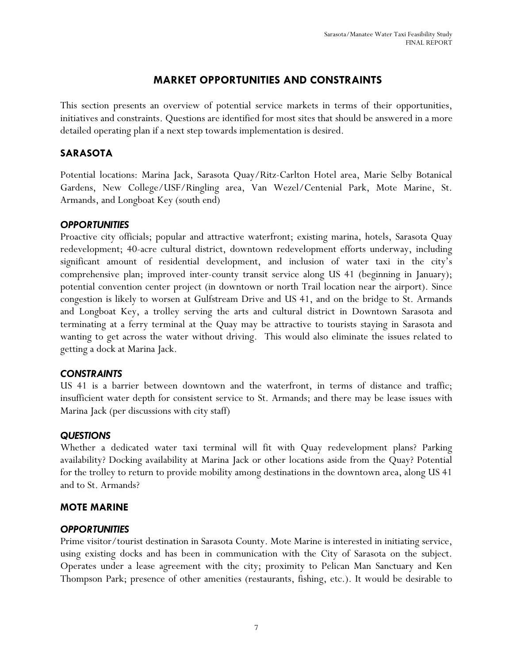#### **MARKET OPPORTUNITIES AND CONSTRAINTS**

This section presents an overview of potential service markets in terms of their opportunities, initiatives and constraints. Questions are identified for most sites that should be answered in a more detailed operating plan if a next step towards implementation is desired.

#### **SARASOTA**

Potential locations: Marina Jack, Sarasota Quay/Ritz-Carlton Hotel area, Marie Selby Botanical Gardens, New College/USF/Ringling area, Van Wezel/Centenial Park, Mote Marine, St. Armands, and Longboat Key (south end)

#### *OPPORTUNITIES*

Proactive city officials; popular and attractive waterfront; existing marina, hotels, Sarasota Quay redevelopment; 40-acre cultural district, downtown redevelopment efforts underway, including significant amount of residential development, and inclusion of water taxi in the city's comprehensive plan; improved inter-county transit service along US 41 (beginning in January); potential convention center project (in downtown or north Trail location near the airport). Since congestion is likely to worsen at Gulfstream Drive and US 41, and on the bridge to St. Armands and Longboat Key, a trolley serving the arts and cultural district in Downtown Sarasota and terminating at a ferry terminal at the Quay may be attractive to tourists staying in Sarasota and wanting to get across the water without driving. This would also eliminate the issues related to getting a dock at Marina Jack.

#### *CONSTRAINTS*

US 41 is a barrier between downtown and the waterfront, in terms of distance and traffic; insufficient water depth for consistent service to St. Armands; and there may be lease issues with Marina Jack (per discussions with city staff)

#### *QUESTIONS*

Whether a dedicated water taxi terminal will fit with Quay redevelopment plans? Parking availability? Docking availability at Marina Jack or other locations aside from the Quay? Potential for the trolley to return to provide mobility among destinations in the downtown area, along US 41 and to St. Armands?

#### **MOTE MARINE**

#### *OPPORTUNITIES*

Prime visitor/tourist destination in Sarasota County. Mote Marine is interested in initiating service, using existing docks and has been in communication with the City of Sarasota on the subject. Operates under a lease agreement with the city; proximity to Pelican Man Sanctuary and Ken Thompson Park; presence of other amenities (restaurants, fishing, etc.). It would be desirable to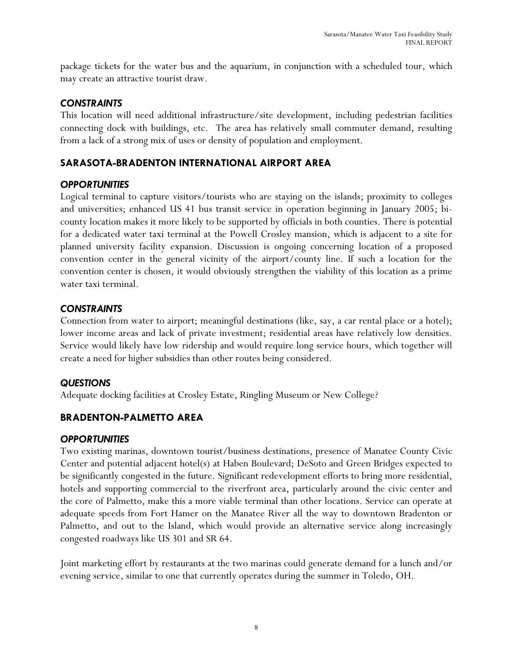package tickets for the water bus and the aquarium, in conjunction with a scheduled tour, which may create an attractive tourist draw.

#### *CONSTRAINTS*

This location will need additional infrastructure/site development, including pedestrian facilities connecting dock with buildings, etc. The area has relatively small commuter demand, resulting from a lack of a strong mix of uses or density of population and employment.

#### **SARASOTA-BRADENTON INTERNATIONAL AIRPORT AREA**

#### *OPPORTUNITIES*

Logical terminal to capture visitors/tourists who are staying on the islands; proximity to colleges and universities; enhanced US 41 bus transit service in operation beginning in January 2005; bicounty location makes it more likely to be supported by officials in both counties. There is potential for a dedicated water taxi terminal at the Powell Crosley mansion, which is adjacent to a site for planned university facility expansion. Discussion is ongoing concerning location of a proposed convention center in the general vicinity of the airport/county line. If such a location for the convention center is chosen, it would obviously strengthen the viability of this location as a prime water taxi terminal.

#### *CONSTRAINTS*

Connection from water to airport; meaningful destinations (like, say, a car rental place or a hotel); lower income areas and lack of private investment; residential areas have relatively low densities. Service would likely have low ridership and would require long service hours, which together will create a need for higher subsidies than other routes being considered.

#### *QUESTIONS*

Adequate docking facilities at Crosley Estate, Ringling Museum or New College?

#### **BRADENTON-PALMETTO AREA**

#### *OPPORTUNITIES*

Two existing marinas, downtown tourist/business destinations, presence of Manatee County Civic Center and potential adjacent hotel(s) at Haben Boulevard; DeSoto and Green Bridges expected to be significantly congested in the future. Significant redevelopment efforts to bring more residential, hotels and supporting commercial to the riverfront area, particularly around the civic center and the core of Palmetto, make this a more viable terminal than other locations. Service can operate at adequate speeds from Fort Hamer on the Manatee River all the way to downtown Bradenton or Palmetto, and out to the Island, which would provide an alternative service along increasingly congested roadways like US 301 and SR 64.

Joint marketing effort by restaurants at the two marinas could generate demand for a lunch and/or evening service, similar to one that currently operates during the summer in Toledo, OH.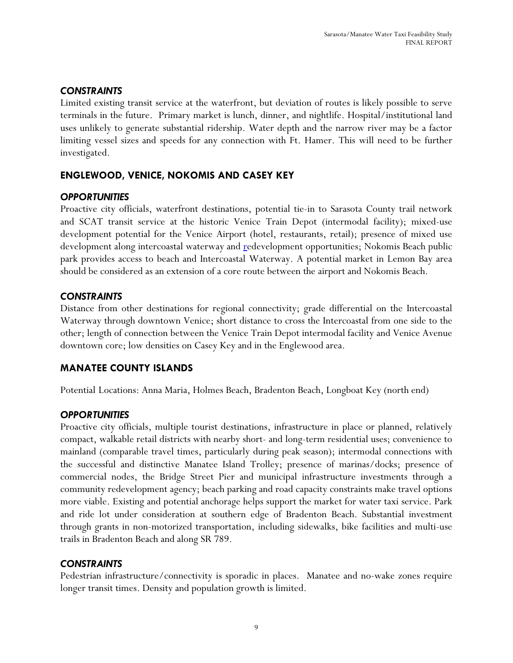#### *CONSTRAINTS*

Limited existing transit service at the waterfront, but deviation of routes is likely possible to serve terminals in the future. Primary market is lunch, dinner, and nightlife. Hospital/institutional land uses unlikely to generate substantial ridership. Water depth and the narrow river may be a factor limiting vessel sizes and speeds for any connection with Ft. Hamer. This will need to be further investigated.

#### **ENGLEWOOD, VENICE, NOKOMIS AND CASEY KEY**

#### *OPPORTUNITIES*

Proactive city officials, waterfront destinations, potential tie-in to Sarasota County trail network and SCAT transit service at the historic Venice Train Depot (intermodal facility); mixed-use development potential for the Venice Airport (hotel, restaurants, retail); presence of mixed use development along intercoastal waterway and redevelopment opportunities; Nokomis Beach public park provides access to beach and Intercoastal Waterway. A potential market in Lemon Bay area should be considered as an extension of a core route between the airport and Nokomis Beach.

#### *CONSTRAINTS*

Distance from other destinations for regional connectivity; grade differential on the Intercoastal Waterway through downtown Venice; short distance to cross the Intercoastal from one side to the other; length of connection between the Venice Train Depot intermodal facility and Venice Avenue downtown core; low densities on Casey Key and in the Englewood area.

#### **MANATEE COUNTY ISLANDS**

Potential Locations: Anna Maria, Holmes Beach, Bradenton Beach, Longboat Key (north end)

#### *OPPORTUNITIES*

Proactive city officials, multiple tourist destinations, infrastructure in place or planned, relatively compact, walkable retail districts with nearby short- and long-term residential uses; convenience to mainland (comparable travel times, particularly during peak season); intermodal connections with the successful and distinctive Manatee Island Trolley; presence of marinas/docks; presence of commercial nodes, the Bridge Street Pier and municipal infrastructure investments through a community redevelopment agency; beach parking and road capacity constraints make travel options more viable. Existing and potential anchorage helps support the market for water taxi service. Park and ride lot under consideration at southern edge of Bradenton Beach. Substantial investment through grants in non-motorized transportation, including sidewalks, bike facilities and multi-use trails in Bradenton Beach and along SR 789.

#### *CONSTRAINTS*

Pedestrian infrastructure/connectivity is sporadic in places. Manatee and no-wake zones require longer transit times. Density and population growth is limited.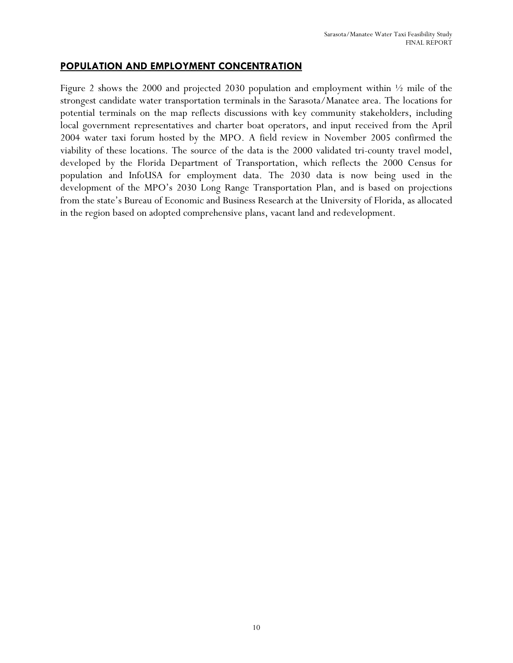#### **POPULATION AND EMPLOYMENT CONCENTRATION**

Figure 2 shows the 2000 and projected 2030 population and employment within  $\frac{1}{2}$  mile of the strongest candidate water transportation terminals in the Sarasota/Manatee area. The locations for potential terminals on the map reflects discussions with key community stakeholders, including local government representatives and charter boat operators, and input received from the April 2004 water taxi forum hosted by the MPO. A field review in November 2005 confirmed the viability of these locations. The source of the data is the 2000 validated tri-county travel model, developed by the Florida Department of Transportation, which reflects the 2000 Census for population and InfoUSA for employment data. The 2030 data is now being used in the development of the MPO's 2030 Long Range Transportation Plan, and is based on projections from the state's Bureau of Economic and Business Research at the University of Florida, as allocated in the region based on adopted comprehensive plans, vacant land and redevelopment.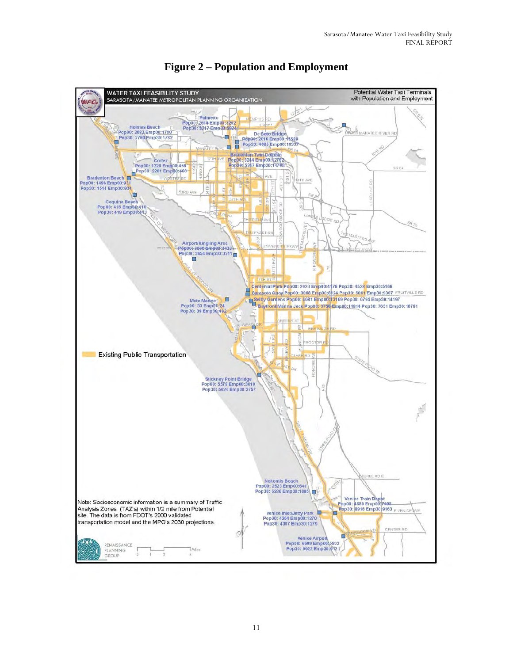

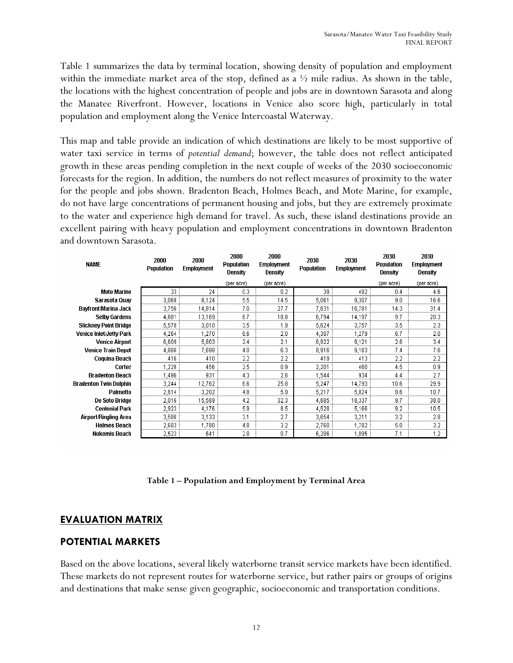Table 1 summarizes the data by terminal location, showing density of population and employment within the immediate market area of the stop, defined as a  $\frac{1}{2}$  mile radius. As shown in the table, the locations with the highest concentration of people and jobs are in downtown Sarasota and along the Manatee Riverfront. However, locations in Venice also score high, particularly in total population and employment along the Venice Intercoastal Waterway.

This map and table provide an indication of which destinations are likely to be most supportive of water taxi service in terms of *potential demand*; however, the table does not reflect anticipated growth in these areas pending completion in the next couple of weeks of the 2030 socioeconomic forecasts for the region. In addition, the numbers do not reflect measures of proximity to the water for the people and jobs shown. Bradenton Beach, Holmes Beach, and Mote Marine, for example, do not have large concentrations of permanent housing and jobs, but they are extremely proximate to the water and experience high demand for travel. As such, these island destinations provide an excellent pairing with heavy population and employment concentrations in downtown Bradenton and downtown Sarasota.

| <b>NAME</b>                   | 2000<br>Population | 2000<br><b>Employment</b> | 2000<br>Population<br>Density | 2000<br><b>Employment</b><br>Density | 2030<br>Population | 2030<br><b>Employment</b> | 2030<br>Population<br>Density | 2030<br><b>Employment</b><br>Density |
|-------------------------------|--------------------|---------------------------|-------------------------------|--------------------------------------|--------------------|---------------------------|-------------------------------|--------------------------------------|
|                               |                    |                           | (per acre)                    | (per acre)                           |                    |                           | (per acre)                    | (per acre)                           |
| <b>Mote Marine</b>            | 33                 | 24                        | 0.3                           | 0.2                                  | 39                 | 492                       | 0.4                           | 4.6                                  |
| Sarasota Quay                 | 3,068              | 8,124                     | 5.5                           | 14.5                                 | 5,061              | 9,307                     | 9.0                           | 16.6                                 |
| Bayfront/Marina Jack          | 3,756              | 14,814                    | 7.0                           | 27.7                                 | 7,631              | 16,781                    | 14.3                          | 31.4                                 |
| <b>Selby Gardens</b>          | 4,681              | 13,169                    | 6.7                           | 18.8                                 | 6,794              | 14,197                    | 9.7                           | 20.3                                 |
| <b>Stickney Point Bridge</b>  | 5,578              | 3,010                     | 3.5                           | 1.9                                  | 5,624              | 3,757                     | 3.5                           | 2.3                                  |
| Venice Inlet/Jetty Park       | 4,264              | 1,270                     | 6.6                           | 2.0                                  | 4,307              | 1,279                     | 6.7                           | 2.0                                  |
| <b>Venice Airport</b>         | 6,609              | 5,803                     | 2.4                           | 2.1                                  | 6,922              | 9.121                     | 2.6                           | 3.4                                  |
| <b>Venice Train Depot</b>     | 4,886              | 7,698                     | 4.0                           | 6.3                                  | 8,916              | 9,163                     | 7.4                           | 7.6                                  |
| Coquina Beach                 | 416                | 410                       | 2.2                           | 2.2                                  | 419                | 413                       | 2.2                           | 2.2                                  |
| Cortez                        | 1,228              | 456                       | 2.5                           | 0.9                                  | 2,201              | 460                       | 4.5                           | 0.9                                  |
| <b>Bradenton Beach</b>        | 1.496              | 931                       | 4.3                           | 2.6                                  | 1,544              | 934                       | 4.4                           | 2.7                                  |
| <b>Bradenton Twin Dolphin</b> | 3,244              | 12,762                    | 6.6                           | 25.8                                 | 5,247              | 14,793                    | 10.6                          | 29.9                                 |
| Palmetto                      | 2,614              | 3,202                     | 4.8                           | 5.9                                  | 5,217              | 5,824                     | 9.6                           | 10.7                                 |
| <b>De Soto Bridge</b>         | 2,016              | 15,589                    | 4.2                           | 32.3                                 | 4,685              | 18,337                    | 9.7                           | 38.0                                 |
| <b>Centenial Park</b>         | 2,923              | 4,176                     | 5.9                           | 8.5                                  | 4,528              | 5,166                     | 9.2                           | 10.5                                 |
| Airport/Ringling Area         | 3,586              | 3,133                     | 3.1                           | 2.7                                  | 3,654              | 3,211                     | 3.2                           | 2.8                                  |
| <b>Holmes Beach</b>           | 2,683              | 1,780                     | 4.8                           | 3.2                                  | 2,760              | 1,782                     | 5.0                           | 3.2                                  |
| Nokomis Beach                 | 2,523              | 641                       | 2.8                           | 0.7                                  | 6,286              | 1.095                     | 7.1                           | 1.2                                  |

#### **Table 1 – Population and Employment by Terminal Area**

#### **EVALUATION MATRIX**

#### **POTENTIAL MARKETS**

Based on the above locations, several likely waterborne transit service markets have been identified. These markets do not represent routes for waterborne service, but rather pairs or groups of origins and destinations that make sense given geographic, socioeconomic and transportation conditions.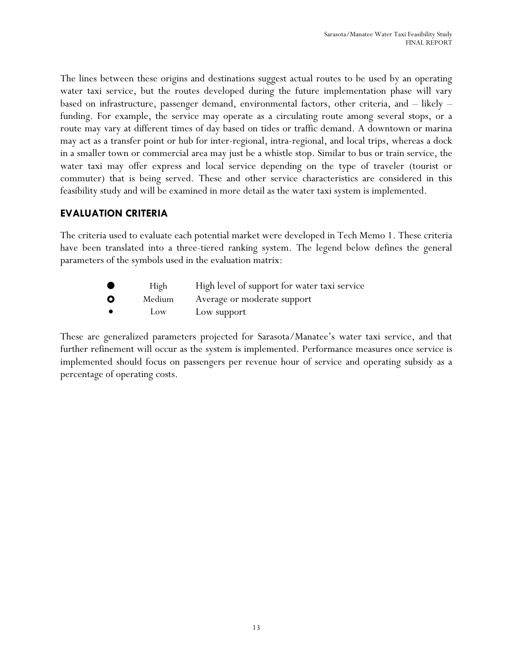The lines between these origins and destinations suggest actual routes to be used by an operating water taxi service, but the routes developed during the future implementation phase will vary based on infrastructure, passenger demand, environmental factors, other criteria, and – likely – funding. For example, the service may operate as a circulating route among several stops, or a route may vary at different times of day based on tides or traffic demand. A downtown or marina may act as a transfer point or hub for inter-regional, intra-regional, and local trips, whereas a dock in a smaller town or commercial area may just be a whistle stop. Similar to bus or train service, the water taxi may offer express and local service depending on the type of traveler (tourist or commuter) that is being served. These and other service characteristics are considered in this feasibility study and will be examined in more detail as the water taxi system is implemented.

#### **EVALUATION CRITERIA**

The criteria used to evaluate each potential market were developed in Tech Memo 1. These criteria have been translated into a three-tiered ranking system. The legend below defines the general parameters of the symbols used in the evaluation matrix:

|    | High   | High level of support for water taxi service |
|----|--------|----------------------------------------------|
| ്റ | Medium | Average or moderate support                  |

• Low Low support

These are generalized parameters projected for Sarasota/Manatee's water taxi service, and that further refinement will occur as the system is implemented. Performance measures once service is implemented should focus on passengers per revenue hour of service and operating subsidy as a percentage of operating costs.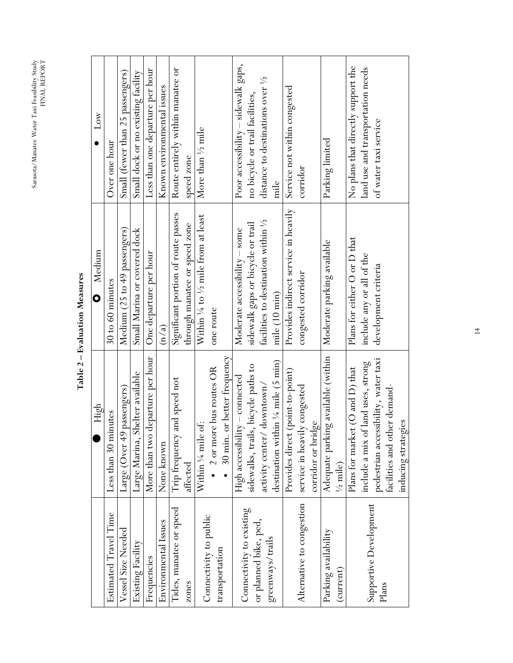$\text{Sarasota/Manatee Water~Taxi Feasibility Study}$   $\text{FIRAL}\xspace\text{RFDORT}$ Sarasota/Manatee Water Taxi Feasibility Study FINAL REPORT

|                           | High                                          | Medium<br>$\overline{\mathbf{o}}$    | $_{\text{Low}}$                     |
|---------------------------|-----------------------------------------------|--------------------------------------|-------------------------------------|
| Estimated Travel Time     | Less than 30 minutes                          | 30 to 60 minutes                     | Over one hour                       |
| Vessel Size Needed        | Large (Over 49 passengers)                    | Medium (25 to 49 passengers)         | Small (fewer than 25 passengers)    |
| Existing Facility         | Large Marina, Shelter available               | Small Marina or covered dock         | Small dock or no existing facility  |
| Frequencies               | departure per hour<br>More than two           | One departure per hour               | Less than one departure per hour    |
| Environmental Issues      | None known                                    | $\overline{\mathrm{m/a}}$            | Known environmental issues          |
| Tides, manatee or speed   | and speed not<br>Trip frequency               | Significant portion of route passes  | Route entirely within manatee or    |
| zones                     | affected                                      | through manatee or speed zone        | speed zone                          |
|                           | Within 1/4 mile of:                           | Within 1/4 to 1/2 mile from at least | More than 1/2 mile                  |
| Connectivity to public    | - 2 or more bus routes OR                     | one route                            |                                     |
| transportation            | or better frequency<br>$\blacksquare$ 30 min. |                                      |                                     |
| Connectivity to existing  | High accessibility - connected                | Moderate accessibility - some        | Poor accessibility – sidewalk gaps, |
|                           | sidewalks, trails, bicycle paths to           | sidewalk gaps or bicycle or trail    | no bicycle or trail facilities,     |
| or planned bike, ped,     | activity center/downtown/                     | facilities to destination within 1/2 | distance to destinations over 1/2   |
| greenways/trails          | destination within 1/4 mile (5 min)           | mile (10 min)                        | mile                                |
|                           | Provides direct (point-to-point)              | Provides indirect service in heavily | Service not within congested        |
| Alternative to congestion | service in heavily congested                  | congested corridor                   | corridor                            |
|                           | corridor or bridge                            |                                      |                                     |
| Parking availability      | Adequate parking available (within            | Moderate parking available           | Parking limited                     |
| (current)                 | $\frac{1}{2}$ mile)                           |                                      |                                     |
|                           | Plans for market (O and D) that               | Plans for either O or D that         | No plans that directly support the  |
| Supportive Development    | include a mix of land uses, strong            | include any or all of the            | land use and transportation needs   |
| Plans                     | pedestrian accessibility, water taxi          | development criteria                 | of water taxi service               |
|                           | facilities and other demand-                  |                                      |                                     |
|                           | inducing strategies                           |                                      |                                     |

# Table 2 - Evaluation Measures **Table 2 – Evaluation Measures**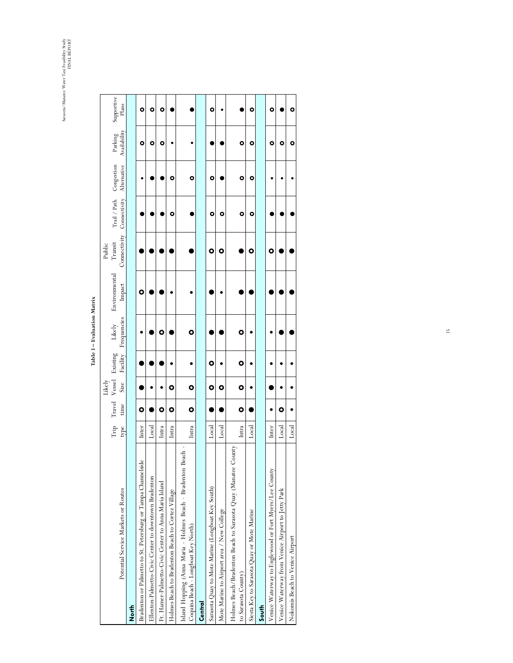Sarasota/Manatee Water Taxi Feasibility Study<br>FINAL REPORT Sarasota/Manatee Water Taxi Feasibility Study FINAL REPORT

|                                                                                                         |       |           | Likely      |                        |             |               | Public                    |                         |             |              |            |
|---------------------------------------------------------------------------------------------------------|-------|-----------|-------------|------------------------|-------------|---------------|---------------------------|-------------------------|-------------|--------------|------------|
|                                                                                                         | Trip  |           |             | Travel Vessel Existing | Likely      | Environmental | Transit                   | Trail / Path Congestion |             | Parking      | Supportive |
| Potential Service Markets or Routes                                                                     | type  | time      | <b>Size</b> | Facility               | Frequencies | Impact        | Connectivity Connectivity |                         | Alternative | Availability | Plans      |
| <b>Roth</b>                                                                                             |       |           |             |                        |             |               |                           |                         |             |              |            |
| Bradenton or Palmetto to St. Petersburg or Tampa Channelside                                            | Inter | o         |             |                        |             | O             |                           |                         |             | ۰            | ۰          |
| Ellenton-Palmetto-Civic Center to downtown Bradenton                                                    | Local |           |             |                        |             |               |                           |                         |             | ۰            | ۰          |
| Ft. Hamer-Palmetto-Civic Center to Anna Maria Island                                                    | Intra | $\bullet$ |             |                        | 0           |               |                           |                         |             | ۰            | ۰          |
| Holmes Beach to Bradenton Beach to Cortez Village                                                       | Intra | 0         | o           |                        |             |               |                           | o                       | O           |              |            |
| Beach -<br>Island Hopping (Anna Maria - Holmes Beach - Bradenton<br>Coquina Beach - Longboat Key North) | Intra | $\bullet$ | $\bullet$   |                        | $\bullet$   |               |                           |                         | ۰           |              |            |
| Central                                                                                                 |       |           |             |                        |             |               |                           |                         |             |              |            |
| Sarasota Quay to Mote Marine (Longboat Key South)                                                       | Local |           | $\bullet$   | o                      |             |               | 0                         | o                       | ۰           |              | o          |
| Mote Marine to Airport area / New College                                                               | Local |           | $\bullet$   |                        |             |               | ٥                         | ٥                       |             |              |            |
| Holmes Beach/Bradenton Beach to Sarasota Quay (Manatee County                                           |       |           |             |                        |             |               |                           |                         |             |              |            |
| to Sarasota County)                                                                                     | Intra | O         | O           | o                      | o           |               |                           | ۰                       | ۰           | ۰            |            |
| Siesta Key to Sarasota Quay or Mote Marine                                                              | Local |           |             |                        |             |               | ۰                         | ۰                       | ۰           | ۰            | ۰          |
| South                                                                                                   |       |           |             |                        |             |               |                           |                         |             |              |            |
| Venice Waterway to Englewood or Fort Myers/Lee County                                                   | Inter |           |             |                        |             |               | o                         |                         |             | ۰            | o          |
| Venice Waterway from Venice Airport to Jetty Park                                                       | Local | o         |             |                        |             |               |                           |                         |             | ۰            |            |
| Nokomis Beach to Venice Airport                                                                         | Local |           |             |                        |             |               |                           |                         |             | ۰            |            |

# Table 3 – Evaluation Matrix **Table 3 Evaluation Matrix**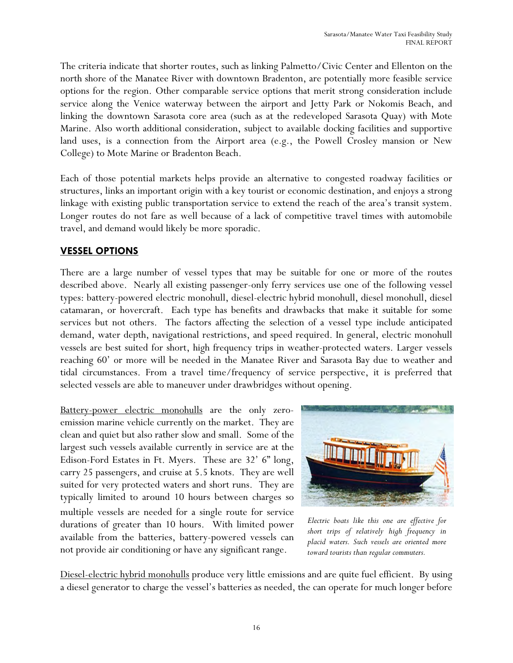The criteria indicate that shorter routes, such as linking Palmetto/Civic Center and Ellenton on the north shore of the Manatee River with downtown Bradenton, are potentially more feasible service options for the region. Other comparable service options that merit strong consideration include service along the Venice waterway between the airport and Jetty Park or Nokomis Beach, and linking the downtown Sarasota core area (such as at the redeveloped Sarasota Quay) with Mote Marine. Also worth additional consideration, subject to available docking facilities and supportive land uses, is a connection from the Airport area (e.g., the Powell Crosley mansion or New College) to Mote Marine or Bradenton Beach.

Each of those potential markets helps provide an alternative to congested roadway facilities or structures, links an important origin with a key tourist or economic destination, and enjoys a strong linkage with existing public transportation service to extend the reach of the area's transit system. Longer routes do not fare as well because of a lack of competitive travel times with automobile travel, and demand would likely be more sporadic.

#### **VESSEL OPTIONS**

There are a large number of vessel types that may be suitable for one or more of the routes described above. Nearly all existing passenger-only ferry services use one of the following vessel types: battery-powered electric monohull, diesel-electric hybrid monohull, diesel monohull, diesel catamaran, or hovercraft. Each type has benefits and drawbacks that make it suitable for some services but not others. The factors affecting the selection of a vessel type include anticipated demand, water depth, navigational restrictions, and speed required. In general, electric monohull vessels are best suited for short, high frequency trips in weather-protected waters. Larger vessels reaching 60' or more will be needed in the Manatee River and Sarasota Bay due to weather and tidal circumstances. From a travel time/frequency of service perspective, it is preferred that selected vessels are able to maneuver under drawbridges without opening.

Battery-power electric monohulls are the only zeroemission marine vehicle currently on the market. They are clean and quiet but also rather slow and small. Some of the largest such vessels available currently in service are at the Edison-Ford Estates in Ft. Myers. These are 32' 6" long, carry 25 passengers, and cruise at 5.5 knots. They are well suited for very protected waters and short runs. They are typically limited to around 10 hours between charges so multiple vessels are needed for a single route for service durations of greater than 10 hours. With limited power available from the batteries, battery-powered vessels can not provide air conditioning or have any significant range.



*Electric boats like this one are effective for short trips of relatively high frequency in placid waters. Such vessels are oriented more toward tourists than regular commuters.* 

Diesel-electric hybrid monohulls produce very little emissions and are quite fuel efficient. By using a diesel generator to charge the vessel's batteries as needed, the can operate for much longer before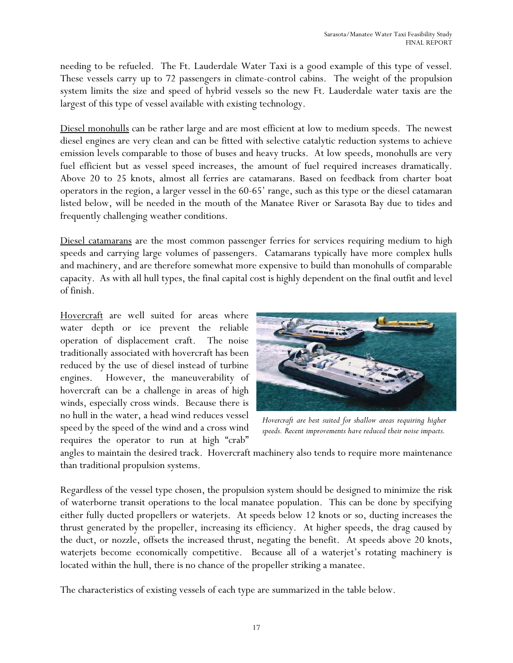needing to be refueled. The Ft. Lauderdale Water Taxi is a good example of this type of vessel. These vessels carry up to 72 passengers in climate-control cabins. The weight of the propulsion system limits the size and speed of hybrid vessels so the new Ft. Lauderdale water taxis are the largest of this type of vessel available with existing technology.

Diesel monohulls can be rather large and are most efficient at low to medium speeds. The newest diesel engines are very clean and can be fitted with selective catalytic reduction systems to achieve emission levels comparable to those of buses and heavy trucks. At low speeds, monohulls are very fuel efficient but as vessel speed increases, the amount of fuel required increases dramatically. Above 20 to 25 knots, almost all ferries are catamarans. Based on feedback from charter boat operators in the region, a larger vessel in the 60-65' range, such as this type or the diesel catamaran listed below, will be needed in the mouth of the Manatee River or Sarasota Bay due to tides and frequently challenging weather conditions.

Diesel catamarans are the most common passenger ferries for services requiring medium to high speeds and carrying large volumes of passengers. Catamarans typically have more complex hulls and machinery, and are therefore somewhat more expensive to build than monohulls of comparable capacity. As with all hull types, the final capital cost is highly dependent on the final outfit and level of finish.

Hovercraft are well suited for areas where water depth or ice prevent the reliable operation of displacement craft. The noise traditionally associated with hovercraft has been reduced by the use of diesel instead of turbine engines. However, the maneuverability of hovercraft can be a challenge in areas of high winds, especially cross winds. Because there is no hull in the water, a head wind reduces vessel speed by the speed of the wind and a cross wind requires the operator to run at high "crab"



*Hovercraft are best suited for shallow areas requiring higher speeds. Recent improvements have reduced their noise impacts.*

angles to maintain the desired track. Hovercraft machinery also tends to require more maintenance than traditional propulsion systems.

Regardless of the vessel type chosen, the propulsion system should be designed to minimize the risk of waterborne transit operations to the local manatee population. This can be done by specifying either fully ducted propellers or waterjets. At speeds below 12 knots or so, ducting increases the thrust generated by the propeller, increasing its efficiency. At higher speeds, the drag caused by the duct, or nozzle, offsets the increased thrust, negating the benefit. At speeds above 20 knots, waterjets become economically competitive. Because all of a waterjet's rotating machinery is located within the hull, there is no chance of the propeller striking a manatee.

The characteristics of existing vessels of each type are summarized in the table below.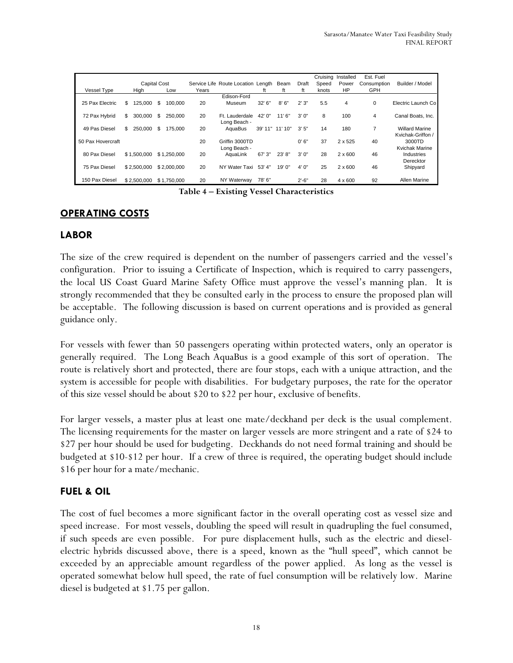|                    |                     |               |       |                                    |                 |         |           | Cruising | Installed      | Est. Fuel   |                       |
|--------------------|---------------------|---------------|-------|------------------------------------|-----------------|---------|-----------|----------|----------------|-------------|-----------------------|
|                    | <b>Capital Cost</b> |               |       | Service Life Route Location Length |                 | Beam    | Draft     | Speed    | Power          | Consumption | Builder / Model       |
| <b>Vessel Type</b> | High                | Low           | Years |                                    | ft              | ft      | ft        | knots    | HP             | GPH         |                       |
|                    |                     |               |       | Edison-Ford                        |                 |         |           |          |                |             |                       |
| 25 Pax Electric    | \$<br>125.000       | \$<br>100.000 | 20    | Museum                             | 32'6''          | 8'6''   | 2'3"      | 5.5      | 4              | $\Omega$    | Electric Launch Co    |
| 72 Pax Hybrid      | \$<br>300.000       | \$<br>250,000 | 20    | Ft. Lauderdale                     | 42' 0"          | 11'6"   | 3'0''     | 8        | 100            | 4           | Canal Boats, Inc.     |
|                    |                     |               |       | Long Beach -                       |                 |         |           |          |                |             |                       |
| 49 Pas Diesel      | \$<br>250,000       | \$<br>175.000 | 20    | AguaBus                            | 39' 11" 11' 10" |         | 3'5''     | 14       | 180            |             | <b>Willard Marine</b> |
|                    |                     |               |       |                                    |                 |         |           |          |                |             | Kvichak-Griffon /     |
| 50 Pax Hovercraft  |                     |               | 20    | Griffin 3000TD                     |                 |         | 0'6"      | 37       | 2 x 525        | 40          | 3000TD                |
|                    |                     |               |       | Long Beach -                       |                 |         |           |          |                |             | Kvichak Marine        |
| 80 Pax Diesel      | \$1.500.000         | \$1.250,000   | 20    | AguaLink                           | 67' 3"          | 23' 8'' | 3'0''     | 28       | $2 \times 600$ | 46          | Industries            |
|                    |                     |               |       |                                    |                 |         |           |          |                |             | Derecktor             |
| 75 Pax Diesel      | \$2.500.000         | \$2,000,000   | 20    | NY Water Taxi                      | 53' 4''         | 19'0"   | 4'0''     | 25       | $2 \times 600$ | 46          | Shipyard              |
|                    |                     |               |       |                                    |                 |         |           |          |                |             |                       |
| 150 Pax Diesel     | \$2,500,000         | \$1,750,000   | 20    | NY Waterway                        | 78'6"           |         | $2' - 6"$ | 28       | $4 \times 600$ | 92          | Allen Marine          |

**Table 4 Existing Vessel Characteristics** 

#### **OPERATING COSTS**

#### **LABOR**

The size of the crew required is dependent on the number of passengers carried and the vessel's configuration. Prior to issuing a Certificate of Inspection, which is required to carry passengers, the local US Coast Guard Marine Safety Office must approve the vessel's manning plan. It is strongly recommended that they be consulted early in the process to ensure the proposed plan will be acceptable. The following discussion is based on current operations and is provided as general guidance only.

For vessels with fewer than 50 passengers operating within protected waters, only an operator is generally required. The Long Beach AquaBus is a good example of this sort of operation. The route is relatively short and protected, there are four stops, each with a unique attraction, and the system is accessible for people with disabilities. For budgetary purposes, the rate for the operator of this size vessel should be about \$20 to \$22 per hour, exclusive of benefits.

For larger vessels, a master plus at least one mate/deckhand per deck is the usual complement. The licensing requirements for the master on larger vessels are more stringent and a rate of \$24 to \$27 per hour should be used for budgeting. Deckhands do not need formal training and should be budgeted at \$10-\$12 per hour. If a crew of three is required, the operating budget should include \$16 per hour for a mate/mechanic.

#### **FUEL & OIL**

The cost of fuel becomes a more significant factor in the overall operating cost as vessel size and speed increase. For most vessels, doubling the speed will result in quadrupling the fuel consumed, if such speeds are even possible. For pure displacement hulls, such as the electric and dieselelectric hybrids discussed above, there is a speed, known as the "hull speed", which cannot be exceeded by an appreciable amount regardless of the power applied. As long as the vessel is operated somewhat below hull speed, the rate of fuel consumption will be relatively low. Marine diesel is budgeted at \$1.75 per gallon.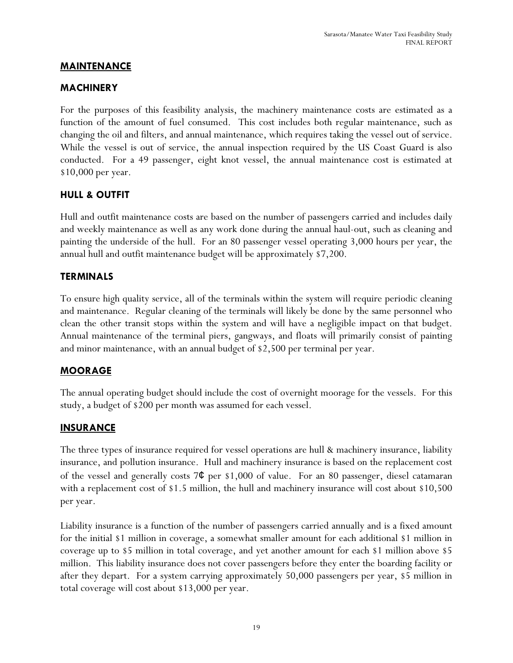#### **MAINTENANCE**

#### **MACHINERY**

For the purposes of this feasibility analysis, the machinery maintenance costs are estimated as a function of the amount of fuel consumed. This cost includes both regular maintenance, such as changing the oil and filters, and annual maintenance, which requires taking the vessel out of service. While the vessel is out of service, the annual inspection required by the US Coast Guard is also conducted. For a 49 passenger, eight knot vessel, the annual maintenance cost is estimated at \$10,000 per year.

#### **HULL & OUTFIT**

Hull and outfit maintenance costs are based on the number of passengers carried and includes daily and weekly maintenance as well as any work done during the annual haul-out, such as cleaning and painting the underside of the hull. For an 80 passenger vessel operating 3,000 hours per year, the annual hull and outfit maintenance budget will be approximately \$7,200.

#### **TERMINALS**

To ensure high quality service, all of the terminals within the system will require periodic cleaning and maintenance. Regular cleaning of the terminals will likely be done by the same personnel who clean the other transit stops within the system and will have a negligible impact on that budget. Annual maintenance of the terminal piers, gangways, and floats will primarily consist of painting and minor maintenance, with an annual budget of \$2,500 per terminal per year.

#### **MOORAGE**

The annual operating budget should include the cost of overnight moorage for the vessels. For this study, a budget of \$200 per month was assumed for each vessel.

#### **INSURANCE**

The three types of insurance required for vessel operations are hull & machinery insurance, liability insurance, and pollution insurance. Hull and machinery insurance is based on the replacement cost of the vessel and generally costs  $7¢$  per \$1,000 of value. For an 80 passenger, diesel catamaran with a replacement cost of \$1.5 million, the hull and machinery insurance will cost about \$10,500 per year.

Liability insurance is a function of the number of passengers carried annually and is a fixed amount for the initial \$1 million in coverage, a somewhat smaller amount for each additional \$1 million in coverage up to \$5 million in total coverage, and yet another amount for each \$1 million above \$5 million. This liability insurance does not cover passengers before they enter the boarding facility or after they depart. For a system carrying approximately 50,000 passengers per year, \$5 million in total coverage will cost about \$13,000 per year.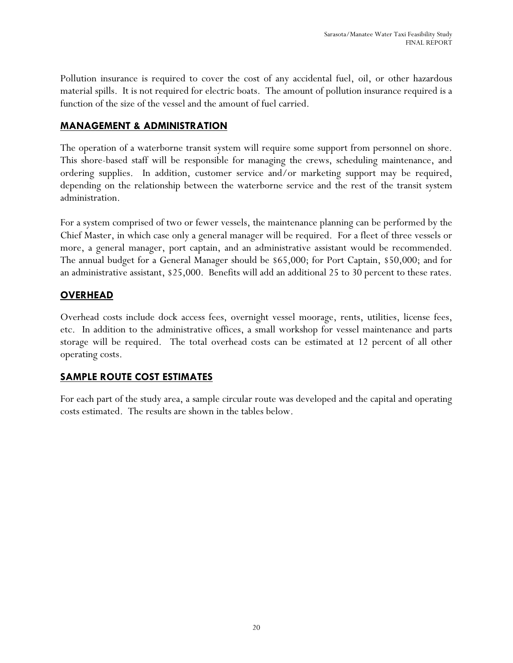Pollution insurance is required to cover the cost of any accidental fuel, oil, or other hazardous material spills. It is not required for electric boats. The amount of pollution insurance required is a function of the size of the vessel and the amount of fuel carried.

#### **MANAGEMENT & ADMINISTRATION**

The operation of a waterborne transit system will require some support from personnel on shore. This shore-based staff will be responsible for managing the crews, scheduling maintenance, and ordering supplies. In addition, customer service and/or marketing support may be required, depending on the relationship between the waterborne service and the rest of the transit system administration.

For a system comprised of two or fewer vessels, the maintenance planning can be performed by the Chief Master, in which case only a general manager will be required. For a fleet of three vessels or more, a general manager, port captain, and an administrative assistant would be recommended. The annual budget for a General Manager should be \$65,000; for Port Captain, \$50,000; and for an administrative assistant, \$25,000. Benefits will add an additional 25 to 30 percent to these rates.

#### **OVERHEAD**

Overhead costs include dock access fees, overnight vessel moorage, rents, utilities, license fees, etc. In addition to the administrative offices, a small workshop for vessel maintenance and parts storage will be required. The total overhead costs can be estimated at 12 percent of all other operating costs.

#### **SAMPLE ROUTE COST ESTIMATES**

For each part of the study area, a sample circular route was developed and the capital and operating costs estimated. The results are shown in the tables below.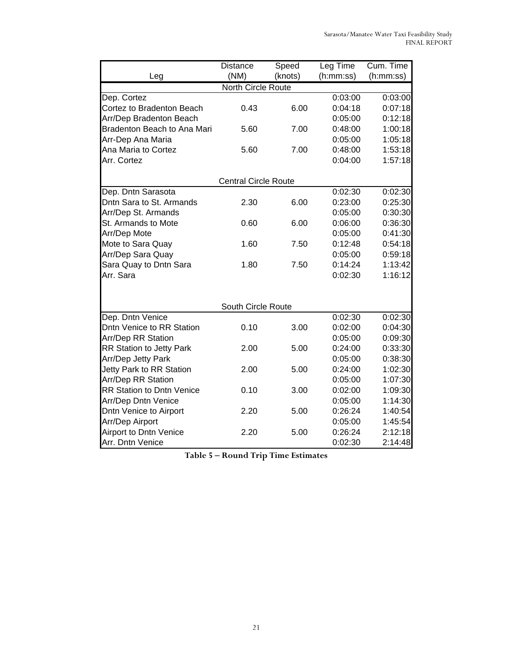|                                                | <b>Distance</b>             | Speed   | Leg Time           | Cum. Time          |
|------------------------------------------------|-----------------------------|---------|--------------------|--------------------|
| Leg                                            | (NM)                        | (knots) | (h:mm:ss)          | (h:mm:ss)          |
|                                                | <b>North Circle Route</b>   |         |                    |                    |
| Dep. Cortez                                    |                             |         | 0:03:00            | 0:03:00            |
| Cortez to Bradenton Beach                      | 0.43                        | 6.00    | 0:04:18            | 0:07:18            |
| Arr/Dep Bradenton Beach                        |                             |         | 0:05:00            | 0:12:18            |
| Bradenton Beach to Ana Mari                    | 5.60                        | 7.00    | 0:48:00            | 1:00:18            |
| Arr-Dep Ana Maria                              |                             |         | 0:05:00            | 1:05:18            |
| Ana Maria to Cortez                            | 5.60                        | 7.00    | 0:48:00            | 1:53:18            |
| Arr. Cortez                                    |                             |         | 0:04:00            | 1:57:18            |
|                                                |                             |         |                    |                    |
|                                                | <b>Central Circle Route</b> |         |                    |                    |
| Dep. Dntn Sarasota<br>Dntn Sara to St. Armands | 2.30                        | 6.00    | 0:02:30            | 0:02:30            |
|                                                |                             |         | 0:23:00            | 0:25:30            |
| Arr/Dep St. Armands<br>St. Armands to Mote     | 0.60                        | 6.00    | 0:05:00<br>0:06:00 | 0:30:30<br>0:36:30 |
| Arr/Dep Mote                                   |                             |         | 0:05:00            | 0:41:30            |
|                                                | 1.60                        | 7.50    |                    | 0:54:18            |
| Mote to Sara Quay                              |                             |         | 0:12:48<br>0:05:00 | 0:59:18            |
| Arr/Dep Sara Quay<br>Sara Quay to Dntn Sara    | 1.80                        | 7.50    | 0:14:24            | 1:13:42            |
| Arr. Sara                                      |                             |         | 0:02:30            | 1:16:12            |
|                                                |                             |         |                    |                    |
|                                                |                             |         |                    |                    |
|                                                | South Circle Route          |         |                    |                    |
| Dep. Dntn Venice                               |                             |         | 0:02:30            | 0:02:30            |
| Dntn Venice to RR Station                      | 0.10                        | 3.00    | 0:02:00            | 0:04:30            |
| Arr/Dep RR Station                             |                             |         | 0:05:00            | 0:09:30            |
| <b>RR Station to Jetty Park</b>                | 2.00                        | 5.00    | 0:24:00            | 0:33:30            |
| Arr/Dep Jetty Park                             |                             |         | 0:05:00            | 0:38:30            |
| Jetty Park to RR Station                       | 2.00                        | 5.00    | 0:24:00            | 1:02:30            |
| Arr/Dep RR Station                             |                             |         | 0:05:00            | 1:07:30            |
| <b>RR Station to Dntn Venice</b>               | 0.10                        | 3.00    | 0:02:00            | 1:09:30            |
| Arr/Dep Dntn Venice                            |                             |         | 0:05:00            | 1:14:30            |
| Dntn Venice to Airport                         | 2.20                        | 5.00    | 0:26:24            | 1:40:54            |
| Arr/Dep Airport                                |                             |         | 0:05:00            | 1:45:54            |
| <b>Airport to Dntn Venice</b>                  | 2.20                        | 5.00    | 0:26:24            | 2:12:18            |
| Arr. Dntn Venice                               |                             |         | 0:02:30            | 2:14:48            |

**Table 5 Round Trip Time Estimates**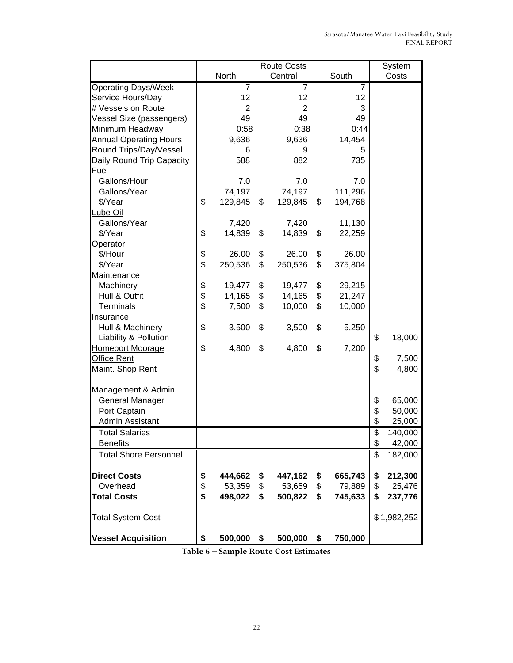|                               | <b>Route Costs</b>        |                |    |                |    |                | System                    |             |
|-------------------------------|---------------------------|----------------|----|----------------|----|----------------|---------------------------|-------------|
|                               | South<br>North<br>Central |                |    |                |    | Costs          |                           |             |
| <b>Operating Days/Week</b>    |                           | $\overline{7}$ |    | $\overline{7}$ |    | $\overline{7}$ |                           |             |
| Service Hours/Day             |                           | 12             |    | 12             |    | 12             |                           |             |
| # Vessels on Route            |                           | $\overline{2}$ |    | $\overline{2}$ |    | 3              |                           |             |
| Vessel Size (passengers)      |                           | 49             |    | 49             |    | 49             |                           |             |
| Minimum Headway               |                           | 0:58           |    | 0:38           |    | 0:44           |                           |             |
| <b>Annual Operating Hours</b> |                           | 9,636          |    | 9,636          |    | 14,454         |                           |             |
| Round Trips/Day/Vessel        |                           | 6              |    | 9              |    | 5              |                           |             |
| Daily Round Trip Capacity     |                           | 588            |    | 882            |    | 735            |                           |             |
| <b>Fuel</b>                   |                           |                |    |                |    |                |                           |             |
| Gallons/Hour                  |                           | 7.0            |    | 7.0            |    | 7.0            |                           |             |
| Gallons/Year                  |                           | 74,197         |    | 74,197         |    | 111,296        |                           |             |
| \$/Year                       | \$                        | 129,845        | \$ | 129,845        | \$ | 194,768        |                           |             |
| Lube Oil                      |                           |                |    |                |    |                |                           |             |
| Gallons/Year                  |                           | 7,420          |    | 7,420          |    | 11,130         |                           |             |
| \$/Year                       | \$                        | 14,839         | \$ | 14,839         | \$ | 22,259         |                           |             |
| Operator                      |                           |                |    |                |    |                |                           |             |
| \$/Hour                       | \$                        | 26.00          | \$ | 26.00          | \$ | 26.00          |                           |             |
| \$/Year                       | \$                        | 250,536        | \$ | 250,536        | \$ | 375,804        |                           |             |
| Maintenance                   |                           |                |    |                |    |                |                           |             |
| Machinery                     | \$                        | 19,477         | \$ | 19,477         | \$ | 29,215         |                           |             |
| Hull & Outfit                 | \$                        | 14,165         | \$ | 14,165         | \$ | 21,247         |                           |             |
| <b>Terminals</b>              | \$                        | 7,500          | \$ | 10,000         | \$ | 10,000         |                           |             |
| Insurance                     |                           |                |    |                |    |                |                           |             |
| Hull & Machinery              | \$                        | 3,500          | \$ | 3,500          | \$ | 5,250          |                           |             |
| Liability & Pollution         |                           |                |    |                |    |                | \$                        | 18,000      |
| <b>Homeport Moorage</b>       | \$                        | 4,800          | \$ | 4,800          | \$ | 7,200          |                           |             |
| Office Rent                   |                           |                |    |                |    |                | \$                        | 7,500       |
| Maint. Shop Rent              |                           |                |    |                |    |                | \$                        | 4,800       |
|                               |                           |                |    |                |    |                |                           |             |
| Management & Admin            |                           |                |    |                |    |                |                           |             |
| <b>General Manager</b>        |                           |                |    |                |    |                | \$                        | 65,000      |
| Port Captain                  |                           |                |    |                |    |                | \$                        | 50,000      |
| Admin Assistant               |                           |                |    |                |    |                | \$                        | 25,000      |
| <b>Total Salaries</b>         |                           |                |    |                |    |                | $\overline{\mathfrak{s}}$ | 140,000     |
| <b>Benefits</b>               |                           |                |    |                |    |                | \$                        | 42,000      |
|                               |                           |                |    |                |    |                |                           |             |
| <b>Total Shore Personnel</b>  |                           |                |    |                |    |                | $\overline{\$}$           | 182,000     |
| <b>Direct Costs</b>           | \$                        | 444,662        | \$ | 447,162        | \$ | 665,743        | \$                        | 212,300     |
| Overhead                      | \$                        | 53,359         | \$ | 53,659         | \$ | 79,889         | \$                        | 25,476      |
| <b>Total Costs</b>            | \$                        | 498,022        | \$ | 500,822        | \$ | 745,633        | \$                        | 237,776     |
| <b>Total System Cost</b>      |                           |                |    |                |    |                |                           | \$1,982,252 |
|                               |                           |                |    |                |    |                |                           |             |
| <b>Vessel Acquisition</b>     | \$                        | 500,000        | \$ | 500,000        | \$ | 750,000        |                           |             |

**Table 6 Sample Route Cost Estimates**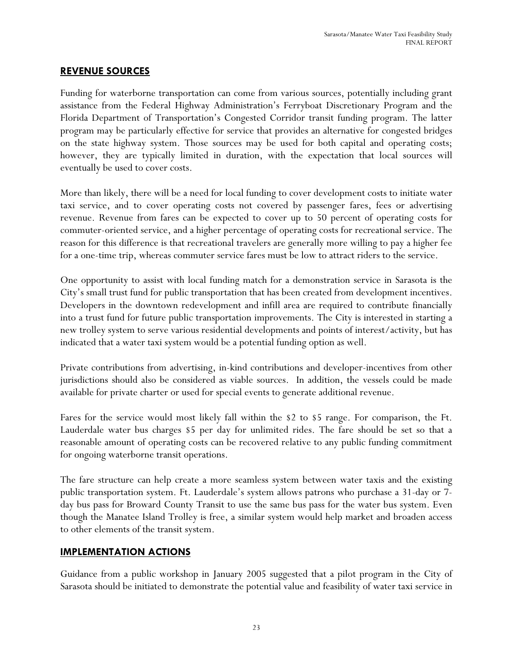#### **REVENUE SOURCES**

Funding for waterborne transportation can come from various sources, potentially including grant assistance from the Federal Highway Administration's Ferryboat Discretionary Program and the Florida Department of Transportation's Congested Corridor transit funding program. The latter program may be particularly effective for service that provides an alternative for congested bridges on the state highway system. Those sources may be used for both capital and operating costs; however, they are typically limited in duration, with the expectation that local sources will eventually be used to cover costs.

More than likely, there will be a need for local funding to cover development costs to initiate water taxi service, and to cover operating costs not covered by passenger fares, fees or advertising revenue. Revenue from fares can be expected to cover up to 50 percent of operating costs for commuter-oriented service, and a higher percentage of operating costs for recreational service. The reason for this difference is that recreational travelers are generally more willing to pay a higher fee for a one-time trip, whereas commuter service fares must be low to attract riders to the service.

One opportunity to assist with local funding match for a demonstration service in Sarasota is the City's small trust fund for public transportation that has been created from development incentives. Developers in the downtown redevelopment and infill area are required to contribute financially into a trust fund for future public transportation improvements. The City is interested in starting a new trolley system to serve various residential developments and points of interest/activity, but has indicated that a water taxi system would be a potential funding option as well.

Private contributions from advertising, in-kind contributions and developer-incentives from other jurisdictions should also be considered as viable sources. In addition, the vessels could be made available for private charter or used for special events to generate additional revenue.

Fares for the service would most likely fall within the \$2 to \$5 range. For comparison, the Ft. Lauderdale water bus charges \$5 per day for unlimited rides. The fare should be set so that a reasonable amount of operating costs can be recovered relative to any public funding commitment for ongoing waterborne transit operations.

The fare structure can help create a more seamless system between water taxis and the existing public transportation system. Ft. Lauderdale's system allows patrons who purchase a 31-day or 7 day bus pass for Broward County Transit to use the same bus pass for the water bus system. Even though the Manatee Island Trolley is free, a similar system would help market and broaden access to other elements of the transit system.

#### **IMPLEMENTATION ACTIONS**

Guidance from a public workshop in January 2005 suggested that a pilot program in the City of Sarasota should be initiated to demonstrate the potential value and feasibility of water taxi service in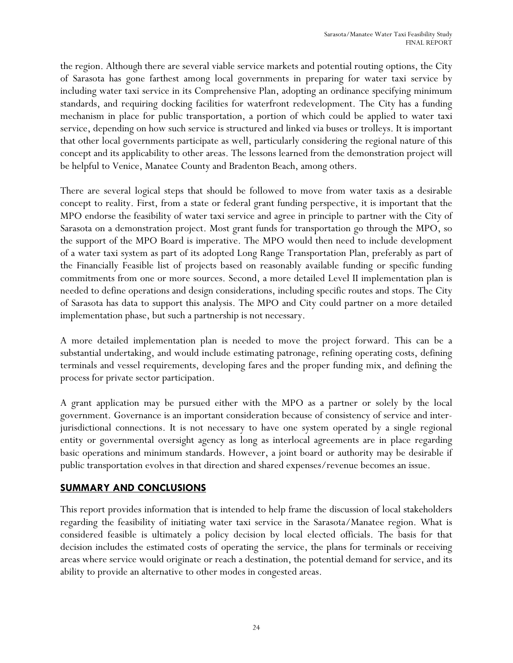the region. Although there are several viable service markets and potential routing options, the City of Sarasota has gone farthest among local governments in preparing for water taxi service by including water taxi service in its Comprehensive Plan, adopting an ordinance specifying minimum standards, and requiring docking facilities for waterfront redevelopment. The City has a funding mechanism in place for public transportation, a portion of which could be applied to water taxi service, depending on how such service is structured and linked via buses or trolleys. It is important that other local governments participate as well, particularly considering the regional nature of this concept and its applicability to other areas. The lessons learned from the demonstration project will be helpful to Venice, Manatee County and Bradenton Beach, among others.

There are several logical steps that should be followed to move from water taxis as a desirable concept to reality. First, from a state or federal grant funding perspective, it is important that the MPO endorse the feasibility of water taxi service and agree in principle to partner with the City of Sarasota on a demonstration project. Most grant funds for transportation go through the MPO, so the support of the MPO Board is imperative. The MPO would then need to include development of a water taxi system as part of its adopted Long Range Transportation Plan, preferably as part of the Financially Feasible list of projects based on reasonably available funding or specific funding commitments from one or more sources. Second, a more detailed Level II implementation plan is needed to define operations and design considerations, including specific routes and stops. The City of Sarasota has data to support this analysis. The MPO and City could partner on a more detailed implementation phase, but such a partnership is not necessary.

A more detailed implementation plan is needed to move the project forward. This can be a substantial undertaking, and would include estimating patronage, refining operating costs, defining terminals and vessel requirements, developing fares and the proper funding mix, and defining the process for private sector participation.

A grant application may be pursued either with the MPO as a partner or solely by the local government. Governance is an important consideration because of consistency of service and interjurisdictional connections. It is not necessary to have one system operated by a single regional entity or governmental oversight agency as long as interlocal agreements are in place regarding basic operations and minimum standards. However, a joint board or authority may be desirable if public transportation evolves in that direction and shared expenses/revenue becomes an issue.

#### **SUMMARY AND CONCLUSIONS**

This report provides information that is intended to help frame the discussion of local stakeholders regarding the feasibility of initiating water taxi service in the Sarasota/Manatee region. What is considered feasible is ultimately a policy decision by local elected officials. The basis for that decision includes the estimated costs of operating the service, the plans for terminals or receiving areas where service would originate or reach a destination, the potential demand for service, and its ability to provide an alternative to other modes in congested areas.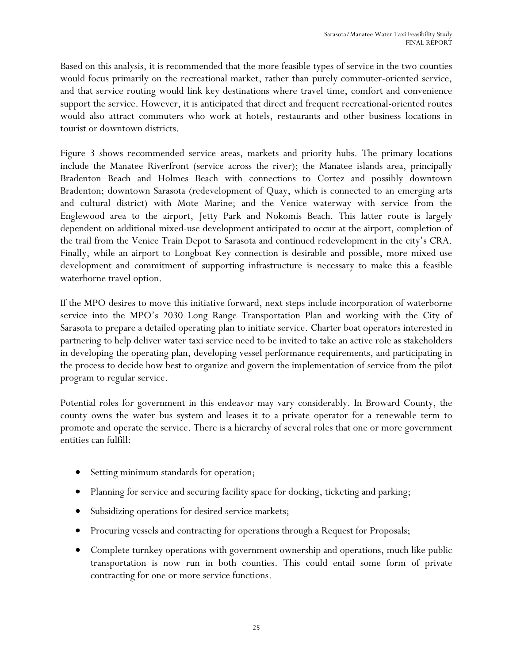Based on this analysis, it is recommended that the more feasible types of service in the two counties would focus primarily on the recreational market, rather than purely commuter-oriented service, and that service routing would link key destinations where travel time, comfort and convenience support the service. However, it is anticipated that direct and frequent recreational-oriented routes would also attract commuters who work at hotels, restaurants and other business locations in tourist or downtown districts.

Figure 3 shows recommended service areas, markets and priority hubs. The primary locations include the Manatee Riverfront (service across the river); the Manatee islands area, principally Bradenton Beach and Holmes Beach with connections to Cortez and possibly downtown Bradenton; downtown Sarasota (redevelopment of Quay, which is connected to an emerging arts and cultural district) with Mote Marine; and the Venice waterway with service from the Englewood area to the airport, Jetty Park and Nokomis Beach. This latter route is largely dependent on additional mixed-use development anticipated to occur at the airport, completion of the trail from the Venice Train Depot to Sarasota and continued redevelopment in the city's CRA. Finally, while an airport to Longboat Key connection is desirable and possible, more mixed-use development and commitment of supporting infrastructure is necessary to make this a feasible waterborne travel option.

If the MPO desires to move this initiative forward, next steps include incorporation of waterborne service into the MPO's 2030 Long Range Transportation Plan and working with the City of Sarasota to prepare a detailed operating plan to initiate service. Charter boat operators interested in partnering to help deliver water taxi service need to be invited to take an active role as stakeholders in developing the operating plan, developing vessel performance requirements, and participating in the process to decide how best to organize and govern the implementation of service from the pilot program to regular service.

Potential roles for government in this endeavor may vary considerably. In Broward County, the county owns the water bus system and leases it to a private operator for a renewable term to promote and operate the service. There is a hierarchy of several roles that one or more government entities can fulfill:

- Setting minimum standards for operation;
- Planning for service and securing facility space for docking, ticketing and parking;
- Subsidizing operations for desired service markets;
- Procuring vessels and contracting for operations through a Request for Proposals;
- Complete turnkey operations with government ownership and operations, much like public transportation is now run in both counties. This could entail some form of private contracting for one or more service functions.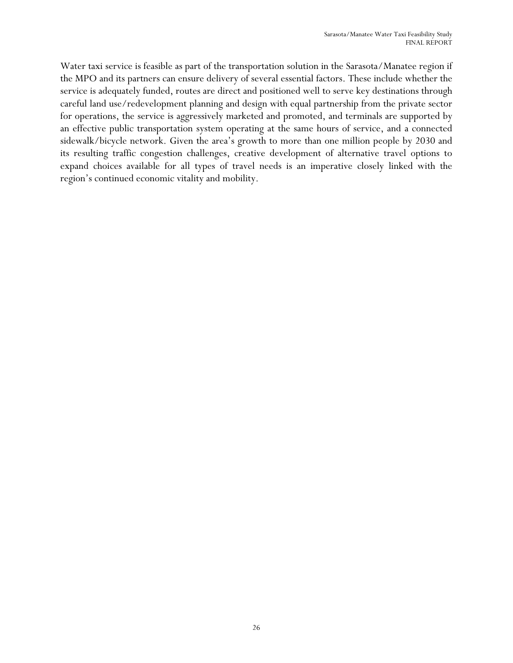Water taxi service is feasible as part of the transportation solution in the Sarasota/Manatee region if the MPO and its partners can ensure delivery of several essential factors. These include whether the service is adequately funded, routes are direct and positioned well to serve key destinations through careful land use/redevelopment planning and design with equal partnership from the private sector for operations, the service is aggressively marketed and promoted, and terminals are supported by an effective public transportation system operating at the same hours of service, and a connected sidewalk/bicycle network. Given the area's growth to more than one million people by 2030 and its resulting traffic congestion challenges, creative development of alternative travel options to expand choices available for all types of travel needs is an imperative closely linked with the region's continued economic vitality and mobility.